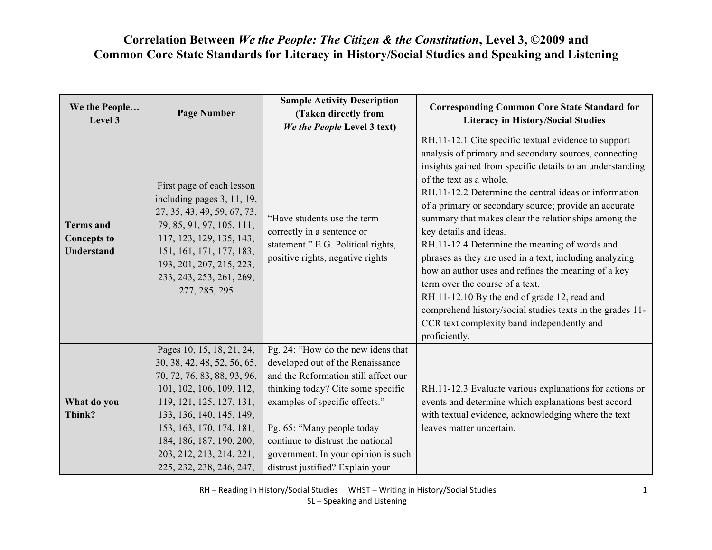| We the People<br>Level 3                             | <b>Page Number</b>                                                                                                                                                                                                                                                                          | <b>Sample Activity Description</b><br>(Taken directly from<br>We the People Level 3 text)                                                                                                                                                                                                                                            | <b>Corresponding Common Core State Standard for</b><br><b>Literacy in History/Social Studies</b>                                                                                                                                                                                                                                                                                                                                                                                                                                                                                                                                                                                                                                                                                            |
|------------------------------------------------------|---------------------------------------------------------------------------------------------------------------------------------------------------------------------------------------------------------------------------------------------------------------------------------------------|--------------------------------------------------------------------------------------------------------------------------------------------------------------------------------------------------------------------------------------------------------------------------------------------------------------------------------------|---------------------------------------------------------------------------------------------------------------------------------------------------------------------------------------------------------------------------------------------------------------------------------------------------------------------------------------------------------------------------------------------------------------------------------------------------------------------------------------------------------------------------------------------------------------------------------------------------------------------------------------------------------------------------------------------------------------------------------------------------------------------------------------------|
| <b>Terms</b> and<br><b>Concepts to</b><br>Understand | First page of each lesson<br>including pages 3, 11, 19,<br>27, 35, 43, 49, 59, 67, 73,<br>79, 85, 91, 97, 105, 111,<br>117, 123, 129, 135, 143,<br>151, 161, 171, 177, 183,<br>193, 201, 207, 215, 223,<br>233, 243, 253, 261, 269,<br>277, 285, 295                                        | "Have students use the term<br>correctly in a sentence or<br>statement." E.G. Political rights,<br>positive rights, negative rights                                                                                                                                                                                                  | RH.11-12.1 Cite specific textual evidence to support<br>analysis of primary and secondary sources, connecting<br>insights gained from specific details to an understanding<br>of the text as a whole.<br>RH.11-12.2 Determine the central ideas or information<br>of a primary or secondary source; provide an accurate<br>summary that makes clear the relationships among the<br>key details and ideas.<br>RH.11-12.4 Determine the meaning of words and<br>phrases as they are used in a text, including analyzing<br>how an author uses and refines the meaning of a key<br>term over the course of a text.<br>RH 11-12.10 By the end of grade 12, read and<br>comprehend history/social studies texts in the grades 11-<br>CCR text complexity band independently and<br>proficiently. |
| What do you<br>Think?                                | Pages 10, 15, 18, 21, 24,<br>30, 38, 42, 48, 52, 56, 65,<br>70, 72, 76, 83, 88, 93, 96,<br>101, 102, 106, 109, 112,<br>119, 121, 125, 127, 131,<br>133, 136, 140, 145, 149,<br>153, 163, 170, 174, 181,<br>184, 186, 187, 190, 200,<br>203, 212, 213, 214, 221,<br>225, 232, 238, 246, 247, | Pg. 24: "How do the new ideas that<br>developed out of the Renaissance<br>and the Reformation still affect our<br>thinking today? Cite some specific<br>examples of specific effects."<br>Pg. 65: "Many people today<br>continue to distrust the national<br>government. In your opinion is such<br>distrust justified? Explain your | RH.11-12.3 Evaluate various explanations for actions or<br>events and determine which explanations best accord<br>with textual evidence, acknowledging where the text<br>leaves matter uncertain.                                                                                                                                                                                                                                                                                                                                                                                                                                                                                                                                                                                           |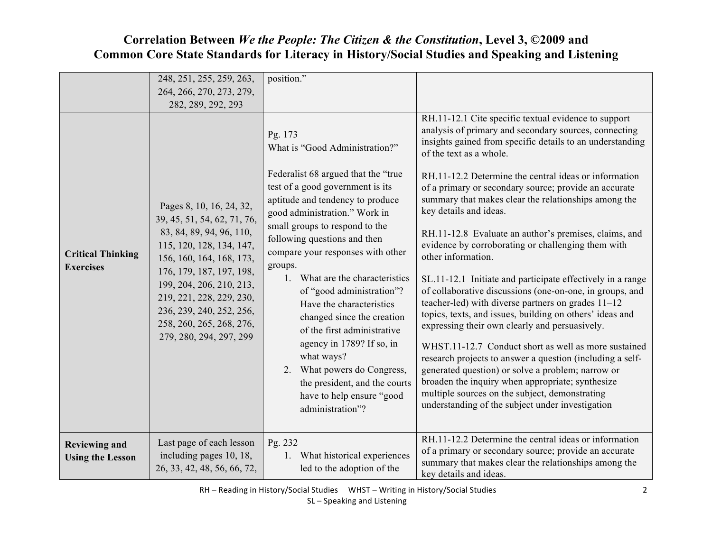|                                                 | 248, 251, 255, 259, 263,<br>264, 266, 270, 273, 279,<br>282, 289, 292, 293                                                                                                                                                                                                                                         | position."                                                                                                                                                                                                                                                                                                                                                                                                                                                                                                                                                                                                                         |                                                                                                                                                                                                                                                                                                                                                                                                                                                                                                                                                                                                                                                                                                                                                                                                                                                                                                                                                                                                                                                                                                                                                                                  |
|-------------------------------------------------|--------------------------------------------------------------------------------------------------------------------------------------------------------------------------------------------------------------------------------------------------------------------------------------------------------------------|------------------------------------------------------------------------------------------------------------------------------------------------------------------------------------------------------------------------------------------------------------------------------------------------------------------------------------------------------------------------------------------------------------------------------------------------------------------------------------------------------------------------------------------------------------------------------------------------------------------------------------|----------------------------------------------------------------------------------------------------------------------------------------------------------------------------------------------------------------------------------------------------------------------------------------------------------------------------------------------------------------------------------------------------------------------------------------------------------------------------------------------------------------------------------------------------------------------------------------------------------------------------------------------------------------------------------------------------------------------------------------------------------------------------------------------------------------------------------------------------------------------------------------------------------------------------------------------------------------------------------------------------------------------------------------------------------------------------------------------------------------------------------------------------------------------------------|
| <b>Critical Thinking</b><br><b>Exercises</b>    | Pages 8, 10, 16, 24, 32,<br>39, 45, 51, 54, 62, 71, 76,<br>83, 84, 89, 94, 96, 110,<br>115, 120, 128, 134, 147,<br>156, 160, 164, 168, 173,<br>176, 179, 187, 197, 198,<br>199, 204, 206, 210, 213,<br>219, 221, 228, 229, 230,<br>236, 239, 240, 252, 256,<br>258, 260, 265, 268, 276,<br>279, 280, 294, 297, 299 | Pg. 173<br>What is "Good Administration?"<br>Federalist 68 argued that the "true"<br>test of a good government is its<br>aptitude and tendency to produce<br>good administration." Work in<br>small groups to respond to the<br>following questions and then<br>compare your responses with other<br>groups.<br>1. What are the characteristics<br>of "good administration"?<br>Have the characteristics<br>changed since the creation<br>of the first administrative<br>agency in 1789? If so, in<br>what ways?<br>2. What powers do Congress,<br>the president, and the courts<br>have to help ensure "good"<br>administration"? | RH.11-12.1 Cite specific textual evidence to support<br>analysis of primary and secondary sources, connecting<br>insights gained from specific details to an understanding<br>of the text as a whole.<br>RH.11-12.2 Determine the central ideas or information<br>of a primary or secondary source; provide an accurate<br>summary that makes clear the relationships among the<br>key details and ideas.<br>RH.11-12.8 Evaluate an author's premises, claims, and<br>evidence by corroborating or challenging them with<br>other information.<br>SL.11-12.1 Initiate and participate effectively in a range<br>of collaborative discussions (one-on-one, in groups, and<br>teacher-led) with diverse partners on grades 11-12<br>topics, texts, and issues, building on others' ideas and<br>expressing their own clearly and persuasively.<br>WHST.11-12.7 Conduct short as well as more sustained<br>research projects to answer a question (including a self-<br>generated question) or solve a problem; narrow or<br>broaden the inquiry when appropriate; synthesize<br>multiple sources on the subject, demonstrating<br>understanding of the subject under investigation |
| <b>Reviewing and</b><br><b>Using the Lesson</b> | Last page of each lesson<br>including pages 10, 18,<br>26, 33, 42, 48, 56, 66, 72,                                                                                                                                                                                                                                 | Pg. 232<br>1. What historical experiences<br>led to the adoption of the                                                                                                                                                                                                                                                                                                                                                                                                                                                                                                                                                            | RH.11-12.2 Determine the central ideas or information<br>of a primary or secondary source; provide an accurate<br>summary that makes clear the relationships among the<br>key details and ideas.                                                                                                                                                                                                                                                                                                                                                                                                                                                                                                                                                                                                                                                                                                                                                                                                                                                                                                                                                                                 |

RH – Reading in History/Social Studies 
WHST – Writing in History/Social Studies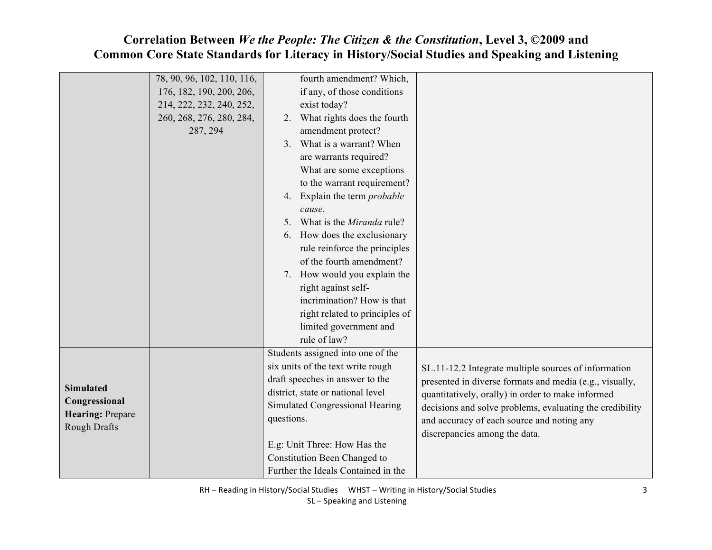|                         | 78, 90, 96, 102, 110, 116, |            | fourth amendment? Which,            |                                                          |
|-------------------------|----------------------------|------------|-------------------------------------|----------------------------------------------------------|
|                         | 176, 182, 190, 200, 206,   |            | if any, of those conditions         |                                                          |
|                         | 214, 222, 232, 240, 252,   |            | exist today?                        |                                                          |
|                         | 260, 268, 276, 280, 284,   | 2.         | What rights does the fourth         |                                                          |
|                         | 287, 294                   |            | amendment protect?                  |                                                          |
|                         |                            | 3.         | What is a warrant? When             |                                                          |
|                         |                            |            | are warrants required?              |                                                          |
|                         |                            |            | What are some exceptions            |                                                          |
|                         |                            |            | to the warrant requirement?         |                                                          |
|                         |                            | 4.         | Explain the term <i>probable</i>    |                                                          |
|                         |                            |            | cause.                              |                                                          |
|                         |                            | $5_{-}$    | What is the <i>Miranda</i> rule?    |                                                          |
|                         |                            | 6.         | How does the exclusionary           |                                                          |
|                         |                            |            | rule reinforce the principles       |                                                          |
|                         |                            |            | of the fourth amendment?            |                                                          |
|                         |                            |            | 7. How would you explain the        |                                                          |
|                         |                            |            | right against self-                 |                                                          |
|                         |                            |            | incrimination? How is that          |                                                          |
|                         |                            |            | right related to principles of      |                                                          |
|                         |                            |            | limited government and              |                                                          |
|                         |                            |            | rule of law?                        |                                                          |
|                         |                            |            | Students assigned into one of the   |                                                          |
|                         |                            |            | six units of the text write rough   | SL.11-12.2 Integrate multiple sources of information     |
|                         |                            |            | draft speeches in answer to the     | presented in diverse formats and media (e.g., visually,  |
| <b>Simulated</b>        |                            |            | district, state or national level   | quantitatively, orally) in order to make informed        |
| Congressional           |                            |            | Simulated Congressional Hearing     | decisions and solve problems, evaluating the credibility |
| <b>Hearing: Prepare</b> |                            | questions. |                                     | and accuracy of each source and noting any               |
| <b>Rough Drafts</b>     |                            |            |                                     | discrepancies among the data.                            |
|                         |                            |            | E.g: Unit Three: How Has the        |                                                          |
|                         |                            |            | Constitution Been Changed to        |                                                          |
|                         |                            |            | Further the Ideals Contained in the |                                                          |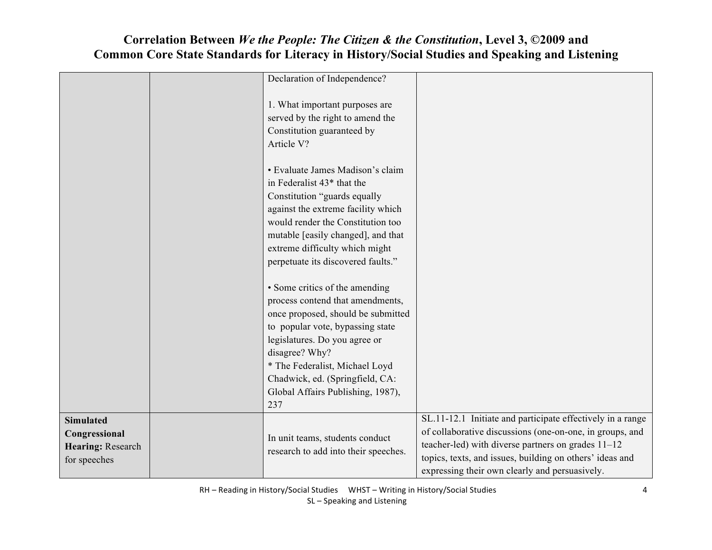#### Declaration of Independence? 1. What important purposes are served by the right to amend the Constitution guaranteed by Article V? • Evaluate James Madison's claim in Federalist 43\* that the Constitution "guards equally against the extreme facility which would render the Constitution too mutable [easily changed], and that extreme difficulty which might perpetuate its discovered faults." • Some critics of the amending process contend that amendments, once proposed, should be submitted to popular vote, bypassing state legislatures. Do you agree or disagree? Why? \* The Federalist, Michael Loyd Chadwick, ed. (Springfield, CA: Global Affairs Publishing, 1987), 237 **Simulated Congressional Hearing:** Research for speeches In unit teams, students conduct research to add into their speeches. SL.11-12.1 Initiate and participate effectively in a range of collaborative discussions (one-on-one, in groups, and teacher-led) with diverse partners on grades 11–12 topics, texts, and issues, building on others' ideas and expressing their own clearly and persuasively.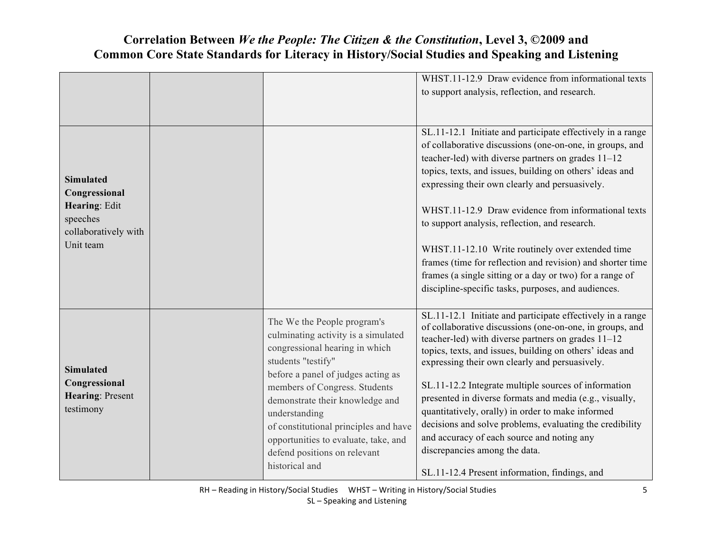| <b>Simulated</b><br>Congressional<br>Hearing: Edit<br>speeches<br>collaboratively with<br>Unit team |                                                                                                                                                                                                                                                                                                                                                                                          | WHST.11-12.9 Draw evidence from informational texts<br>to support analysis, reflection, and research.<br>SL.11-12.1 Initiate and participate effectively in a range<br>of collaborative discussions (one-on-one, in groups, and<br>teacher-led) with diverse partners on grades $11-12$<br>topics, texts, and issues, building on others' ideas and<br>expressing their own clearly and persuasively.<br>WHST.11-12.9 Draw evidence from informational texts<br>to support analysis, reflection, and research.<br>WHST.11-12.10 Write routinely over extended time<br>frames (time for reflection and revision) and shorter time<br>frames (a single sitting or a day or two) for a range of<br>discipline-specific tasks, purposes, and audiences. |
|-----------------------------------------------------------------------------------------------------|------------------------------------------------------------------------------------------------------------------------------------------------------------------------------------------------------------------------------------------------------------------------------------------------------------------------------------------------------------------------------------------|-----------------------------------------------------------------------------------------------------------------------------------------------------------------------------------------------------------------------------------------------------------------------------------------------------------------------------------------------------------------------------------------------------------------------------------------------------------------------------------------------------------------------------------------------------------------------------------------------------------------------------------------------------------------------------------------------------------------------------------------------------|
| <b>Simulated</b><br>Congressional<br>Hearing: Present<br>testimony                                  | The We the People program's<br>culminating activity is a simulated<br>congressional hearing in which<br>students "testify"<br>before a panel of judges acting as<br>members of Congress. Students<br>demonstrate their knowledge and<br>understanding<br>of constitutional principles and have<br>opportunities to evaluate, take, and<br>defend positions on relevant<br>historical and | SL.11-12.1 Initiate and participate effectively in a range<br>of collaborative discussions (one-on-one, in groups, and<br>teacher-led) with diverse partners on grades $11-12$<br>topics, texts, and issues, building on others' ideas and<br>expressing their own clearly and persuasively.<br>SL.11-12.2 Integrate multiple sources of information<br>presented in diverse formats and media (e.g., visually,<br>quantitatively, orally) in order to make informed<br>decisions and solve problems, evaluating the credibility<br>and accuracy of each source and noting any<br>discrepancies among the data.<br>SL.11-12.4 Present information, findings, and                                                                                    |